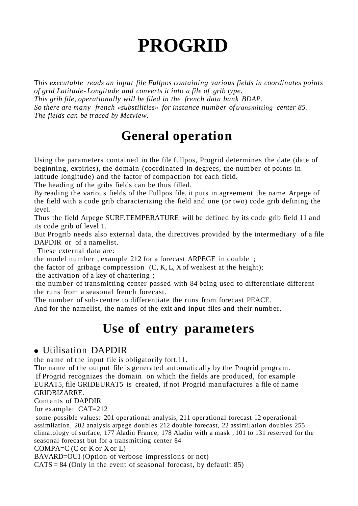# **PROGRID**

T*his executable reads an input file Fullpos containing various fields in coordinates points of grid Latitude- Longitude and converts it into a file of grib type. This grib file, operationally will be filed in the french data bank BDAP. So there are many french «substilities» for instance number of transmitting center 85. The fields can be traced by Metview.*

## **General operation**

Using the parameters contained in the file fullpos, Progrid determines the date (date of beginning, expiries), the domain (coordinated in degrees, the number of points in latitude longitude) and the factor of compaction for each field.

The heading of the gribs fields can be thus filled.

By reading the various fields of the Fullpos file, it puts in agreement the name Arpege of the field with a code grib characterizing the field and one (or two) code grib defining the level.

Thus the field Arpege SURF.TEMPERATURE will be defined by its code grib field 11 and its code grib of level 1.

But Progrib needs also external data, the directives provided by the intermediary of a file DAPDIR or of a namelist.

These external data are:

the model number , example 212 for a forecast ARPEGE in double ;

the factor of gribage compression  $(C, K, L, X)$  weakest at the height);

the activation of a key of chattering ;

the number of transmitting center passed with 84 being used to differentiate different the runs from a seasonal french forecast.

The number of sub- centre to differentiate the runs from forecast PEACE.

And for the namelist, the names of the exit and input files and their number.

### **Use of entry parameters**

#### ● Utilisation DAPDIR

the name of the input file is obligatorily fort.11.

The name of the output file is generated automatically by the Progrid program. If Progrid recognizes the domain on which the fields are produced, for example EURAT5, file GRIDEURAT5 is created, if not Progrid manufactures a file of name GRIDBIZARRE.

Contents of DAPDIR

for example: CAT=212

some possible values: 201 operational analysis, 211 operational forecast 12 operational assimilation, 202 analysis arpege doubles 212 double forecast, 22 assimilation doubles 255 climatology of surface, 177 Aladin France, 178 Aladin with a mask , 101 to 131 reserved for the seasonal forecast but for a transmitting center 84

COMPA=C (C or K or X or L)

BAVARD=OUI (Option of verbose impressions or not)

 $CATS = 84$  (Only in the event of seasonal forecast, by defautlt 85)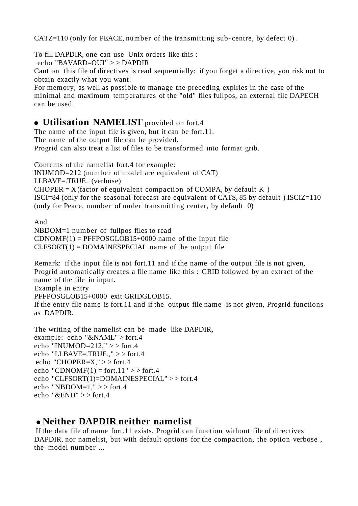CATZ=110 (only for PEACE, number of the transmitting sub- centre, by defect 0) .

To fill DAPDIR, one can use Unix orders like this :

echo "BAVARD=OUI" > > DAPDIR

Caution this file of directives is read sequentially: if you forget a directive, you risk not to obtain exactly what you want!

For memory, as well as possible to manage the preceding expiries in the case of the minimal and maximum temperatures of the "old" files fullpos, an external file DAPECH can be used.

#### ● **Utilisation NAMELIST** provided on fort.4

The name of the input file is given, but it can be fort.11. The name of the output file can be provided. Progrid can also treat a list of files to be transformed into format grib.

Contents of the namelist fort.4 for example: INUMOD=212 (number of model are equivalent of CAT) LLBAVE=.TRUE. (verbose)  $CHOPER = X(factor of equivalent compaction of COMPA, by default K)$ ISCI=84 (only for the seasonal forecast are equivalent of CATS, 85 by default ) ISCIZ=110 (only for Peace, number of under transmitting center, by default 0)

And NBDOM=1 number of fullpos files to read  $CDNOMF(1) = PFFPOSGLOB15+0000$  name of the input file  $CLFSORT(1) = DOMAINESPECIAL$  name of the output file

Remark: if the input file is not fort.11 and if the name of the output file is not given, Progrid automatically creates a file name like this : GRID followed by an extract of the name of the file in input.

Example in entry

PFFPOSGLOB15+0000 exit GRIDGLOB15.

If the entry file name is fort.11 and if the output file name is not given, Progrid functions as DAPDIR.

The writing of the namelist can be made like DAPDIR, example: echo "&NAML" > fort.4 echo "INUMOD= $212$ ,"  $>>$  fort.4 echo "LLBAVE=.TRUE.," > > fort.4 echo "CHOPER= $X'' >>$  fort.4 echo "CDNOMF $(1)$  = fort.11" > > fort.4 echo "CLFSORT(1)=DOMAINESPECIAL" > > fort.4 echo "NBDOM=1,"  $>>$  fort.4 echo " $\&$ END" > > fort.4

#### ● **Neither DAPDIR neither namelist**

If the data file of name fort.11 exists, Progrid can function without file of directives DAPDIR, nor namelist, but with default options for the compaction, the option verbose, the model number ...